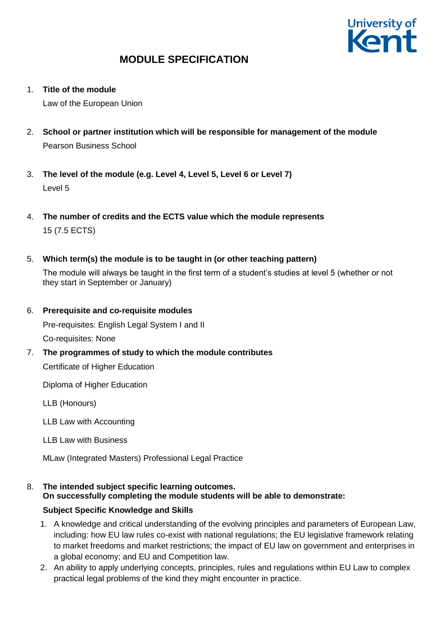

1. **Title of the module**

Law of the European Union

- 2. **School or partner institution which will be responsible for management of the module** Pearson Business School
- 3. **The level of the module (e.g. Level 4, Level 5, Level 6 or Level 7)** Level 5
- 4. **The number of credits and the ECTS value which the module represents**  15 (7.5 ECTS)
- 5. **Which term(s) the module is to be taught in (or other teaching pattern)**

The module will always be taught in the first term of a student's studies at level 5 (whether or not they start in September or January)

6. **Prerequisite and co-requisite modules**

Pre-requisites: English Legal System I and II

Co-requisites: None

7. **The programmes of study to which the module contributes** Certificate of Higher Education

Diploma of Higher Education

LLB (Honours)

LLB Law with Accounting

LLB Law with Business

MLaw (Integrated Masters) Professional Legal Practice

### 8. **The intended subject specific learning outcomes.**

**On successfully completing the module students will be able to demonstrate:**

### **Subject Specific Knowledge and Skills**

- 1. A knowledge and critical understanding of the evolving principles and parameters of European Law, including: how EU law rules co-exist with national regulations; the EU legislative framework relating to market freedoms and market restrictions; the impact of EU law on government and enterprises in a global economy; and EU and Competition law.
- 2. An ability to apply underlying concepts, principles, rules and regulations within EU Law to complex practical legal problems of the kind they might encounter in practice.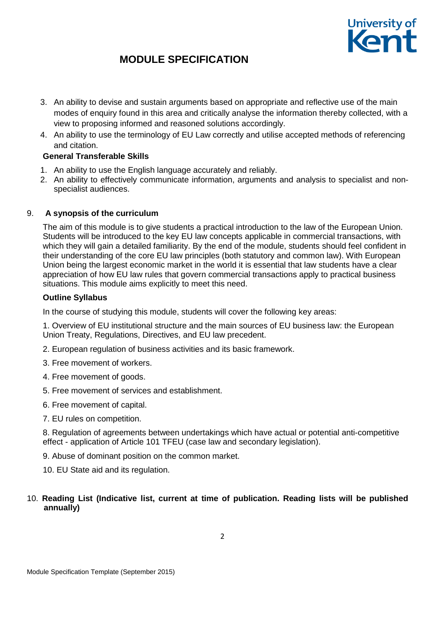

- 3. An ability to devise and sustain arguments based on appropriate and reflective use of the main modes of enquiry found in this area and critically analyse the information thereby collected, with a view to proposing informed and reasoned solutions accordingly.
- 4. An ability to use the terminology of EU Law correctly and utilise accepted methods of referencing and citation.

### **General Transferable Skills**

- 1. An ability to use the English language accurately and reliably.
- 2. An ability to effectively communicate information, arguments and analysis to specialist and nonspecialist audiences.

### 9. **A synopsis of the curriculum**

The aim of this module is to give students a practical introduction to the law of the European Union. Students will be introduced to the key EU law concepts applicable in commercial transactions, with which they will gain a detailed familiarity. By the end of the module, students should feel confident in their understanding of the core EU law principles (both statutory and common law). With European Union being the largest economic market in the world it is essential that law students have a clear appreciation of how EU law rules that govern commercial transactions apply to practical business situations. This module aims explicitly to meet this need.

### **Outline Syllabus**

In the course of studying this module, students will cover the following key areas:

1. Overview of EU institutional structure and the main sources of EU business law: the European Union Treaty, Regulations, Directives, and EU law precedent.

- 2. European regulation of business activities and its basic framework.
- 3. Free movement of workers.
- 4. Free movement of goods.
- 5. Free movement of services and establishment.
- 6. Free movement of capital.
- 7. EU rules on competition.

8. Regulation of agreements between undertakings which have actual or potential anti-competitive effect - application of Article 101 TFEU (case law and secondary legislation).

9. Abuse of dominant position on the common market.

10. EU State aid and its regulation.

10. **Reading List (Indicative list, current at time of publication. Reading lists will be published annually)**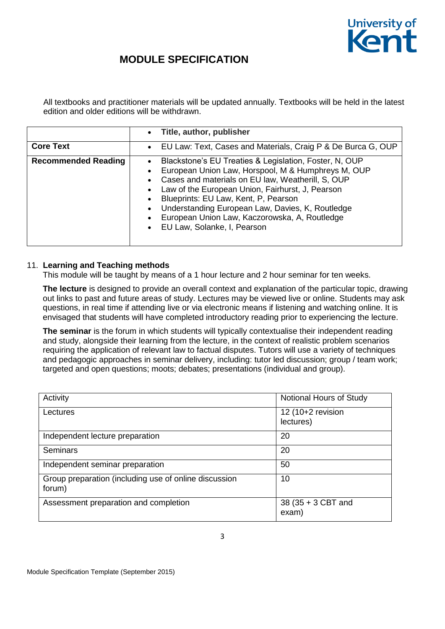

All textbooks and practitioner materials will be updated annually. Textbooks will be held in the latest edition and older editions will be withdrawn.

|                            | Title, author, publisher<br>$\bullet$                                                                                                                                                                                                                                                                                                                                                                                                                                                                     |
|----------------------------|-----------------------------------------------------------------------------------------------------------------------------------------------------------------------------------------------------------------------------------------------------------------------------------------------------------------------------------------------------------------------------------------------------------------------------------------------------------------------------------------------------------|
| <b>Core Text</b>           | EU Law: Text, Cases and Materials, Craig P & De Burca G, OUP<br>$\bullet$                                                                                                                                                                                                                                                                                                                                                                                                                                 |
| <b>Recommended Reading</b> | Blackstone's EU Treaties & Legislation, Foster, N, OUP<br>$\bullet$<br>European Union Law, Horspool, M & Humphreys M, OUP<br>$\bullet$<br>Cases and materials on EU law, Weatherill, S, OUP<br>$\bullet$<br>Law of the European Union, Fairhurst, J, Pearson<br>$\bullet$<br>Blueprints: EU Law, Kent, P, Pearson<br>$\bullet$<br>Understanding European Law, Davies, K, Routledge<br>$\bullet$<br>European Union Law, Kaczorowska, A, Routledge<br>$\bullet$<br>EU Law, Solanke, I, Pearson<br>$\bullet$ |

#### 11. **Learning and Teaching methods**

This module will be taught by means of a 1 hour lecture and 2 hour seminar for ten weeks.

**The lecture** is designed to provide an overall context and explanation of the particular topic, drawing out links to past and future areas of study. Lectures may be viewed live or online. Students may ask questions, in real time if attending live or via electronic means if listening and watching online. It is envisaged that students will have completed introductory reading prior to experiencing the lecture.

**The seminar** is the forum in which students will typically contextualise their independent reading and study, alongside their learning from the lecture, in the context of realistic problem scenarios requiring the application of relevant law to factual disputes. Tutors will use a variety of techniques and pedagogic approaches in seminar delivery, including: tutor led discussion; group / team work; targeted and open questions; moots; debates; presentations (individual and group).

| Activity                                                        | Notional Hours of Study          |
|-----------------------------------------------------------------|----------------------------------|
| Lectures                                                        | 12 $(10+2$ revision<br>lectures) |
| Independent lecture preparation                                 | 20                               |
| <b>Seminars</b>                                                 | 20                               |
| Independent seminar preparation                                 | 50                               |
| Group preparation (including use of online discussion<br>forum) | 10                               |
| Assessment preparation and completion                           | 38 (35 + 3 CBT and<br>exam)      |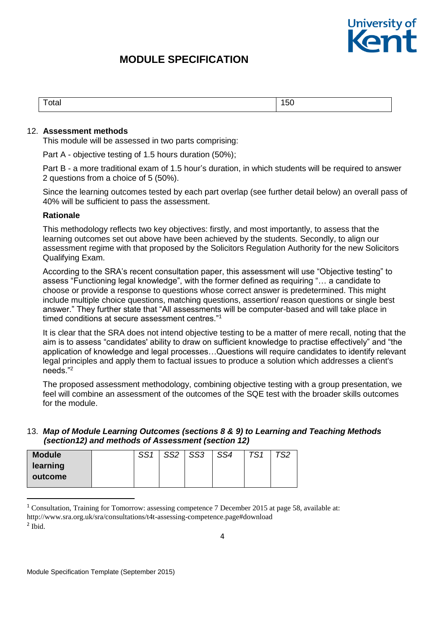

| .<br>otal<br>$\cdot$ $\cdot$ $\cdot$ $\cdot$ $\cdot$ | $\ddot{\,}$<br><br>50 |
|------------------------------------------------------|-----------------------|
|                                                      |                       |

#### 12. **Assessment methods**

This module will be assessed in two parts comprising:

Part A - objective testing of 1.5 hours duration (50%);

Part B - a more traditional exam of 1.5 hour's duration, in which students will be required to answer 2 questions from a choice of 5 (50%).

Since the learning outcomes tested by each part overlap (see further detail below) an overall pass of 40% will be sufficient to pass the assessment.

#### **Rationale**

This methodology reflects two key objectives: firstly, and most importantly, to assess that the learning outcomes set out above have been achieved by the students. Secondly, to align our assessment regime with that proposed by the Solicitors Regulation Authority for the new Solicitors Qualifying Exam.

According to the SRA's recent consultation paper, this assessment will use "Objective testing" to assess "Functioning legal knowledge", with the former defined as requiring "… a candidate to choose or provide a response to questions whose correct answer is predetermined. This might include multiple choice questions, matching questions, assertion/ reason questions or single best answer." They further state that "All assessments will be computer-based and will take place in timed conditions at secure assessment centres."<sup>1</sup>

It is clear that the SRA does not intend objective testing to be a matter of mere recall, noting that the aim is to assess "candidates' ability to draw on sufficient knowledge to practise effectively" and "the application of knowledge and legal processes…Questions will require candidates to identify relevant legal principles and apply them to factual issues to produce a solution which addresses a client's needs."<sup>2</sup>

The proposed assessment methodology, combining objective testing with a group presentation, we feel will combine an assessment of the outcomes of the SQE test with the broader skills outcomes for the module.

#### 13. *Map of Module Learning Outcomes (sections 8 & 9) to Learning and Teaching Methods (section12) and methods of Assessment (section 12)*

| <b>Module</b>       | CCA | SS <sub>2</sub> | SS <sub>3</sub> | SS4 | TS1 | $\tau$ co |
|---------------------|-----|-----------------|-----------------|-----|-----|-----------|
| learning<br>outcome |     |                 |                 |     |     |           |

<sup>&</sup>lt;sup>1</sup> Consultation, Training for Tomorrow: assessing competence 7 December 2015 at page 58, available at: http://www.sra.org.uk/sra/consultations/t4t-assessing-competence.page#download 2 Ibid.

1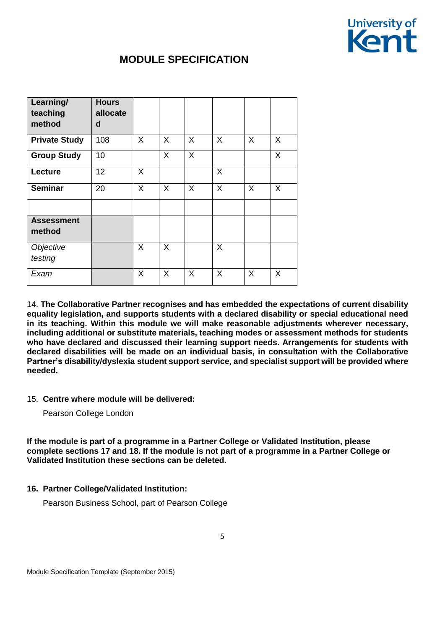

| Learning/<br>teaching<br>method | <b>Hours</b><br>allocate<br>d |   |         |         |   |   |         |
|---------------------------------|-------------------------------|---|---------|---------|---|---|---------|
| <b>Private Study</b>            | 108                           | X | $\sf X$ | X       | X | X | X       |
| <b>Group Study</b>              | 10                            |   | X       | X       |   |   | X       |
| Lecture                         | 12                            | X |         |         | X |   |         |
| <b>Seminar</b>                  | 20                            | X | $\sf X$ | $\sf X$ | X | X | $\sf X$ |
|                                 |                               |   |         |         |   |   |         |
| <b>Assessment</b><br>method     |                               |   |         |         |   |   |         |
| Objective<br>testing            |                               | X | X       |         | X |   |         |
| Exam                            |                               | X | X       | $\sf X$ | X | X | X       |

14. **The Collaborative Partner recognises and has embedded the expectations of current disability equality legislation, and supports students with a declared disability or special educational need in its teaching. Within this module we will make reasonable adjustments wherever necessary, including additional or substitute materials, teaching modes or assessment methods for students who have declared and discussed their learning support needs. Arrangements for students with declared disabilities will be made on an individual basis, in consultation with the Collaborative Partner's disability/dyslexia student support service, and specialist support will be provided where needed.**

### 15. **Centre where module will be delivered:**

Pearson College London

**If the module is part of a programme in a Partner College or Validated Institution, please complete sections 17 and 18. If the module is not part of a programme in a Partner College or Validated Institution these sections can be deleted.**

#### **16. Partner College/Validated Institution:**

Pearson Business School, part of Pearson College